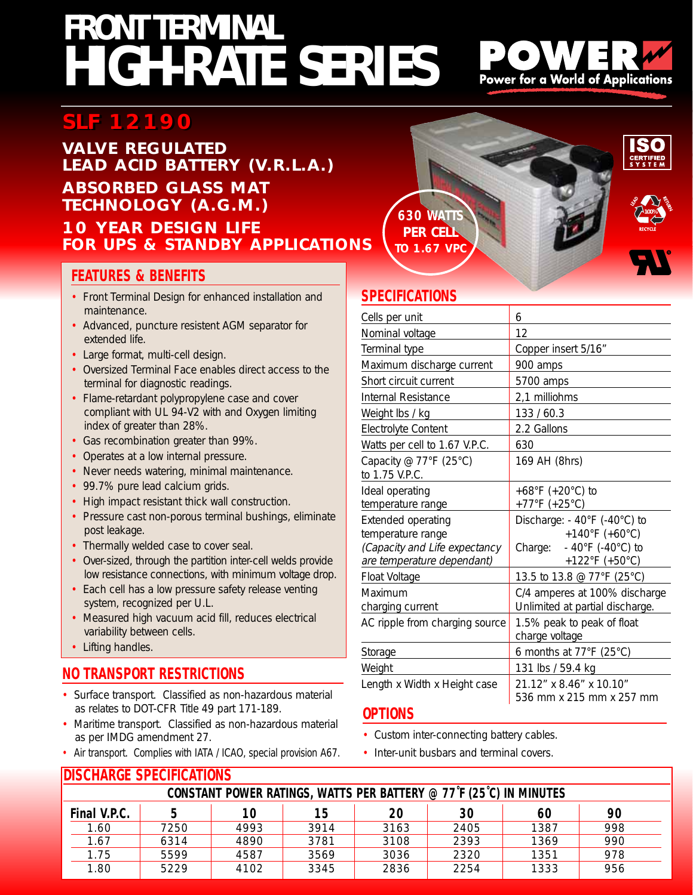## **HIGH-RATE SERIES FRONT TERMINAL**



#### **VALVE REGULATED LEAD ACID BATTERY (V.R.L.A.) ABSORBED GLASS MAT TECHNOLOGY (A.G.M.)**

### **10 YEAR DESIGN LIFE FOR UPS & STANDBY APPLICATIONS**

#### **FEATURES & BENEFITS**

- Front Terminal Design for enhanced installation and maintenance.
- Advanced, puncture resistent AGM separator for extended life.
- Large format, multi-cell design.
- Oversized Terminal Face enables direct access to the terminal for diagnostic readings.
- Flame-retardant polypropylene case and cover compliant with UL 94-V2 with and Oxygen limiting index of greater than 28%.
- Gas recombination greater than 99%.
- Operates at a low internal pressure.
- Never needs watering, minimal maintenance.
- 99.7% pure lead calcium grids.
- High impact resistant thick wall construction.
- Pressure cast non-porous terminal bushings, eliminate post leakage.
- Thermally welded case to cover seal.
- Over-sized, through the partition inter-cell welds provide low resistance connections, with minimum voltage drop.
- Each cell has a low pressure safety release venting system, recognized per U.L.
- Measured high vacuum acid fill, reduces electrical variability between cells.
- Lifting handles.

### **NO TRANSPORT RESTRICTIONS**

**DISCHARGE SPECIFICATIONS** 

- Surface transport. Classified as non-hazardous material as relates to DOT-CFR Title 49 part 171-189.
- Maritime transport. Classified as non-hazardous material as per IMDG amendment 27.
- Air transport. Complies with IATA / ICAO, special provision A67.





**Power for a World of Applications** 

**SPECIFICATIONS**

| 6                                                                  |
|--------------------------------------------------------------------|
| 12                                                                 |
| Copper insert 5/16"                                                |
| 900 amps                                                           |
| 5700 amps                                                          |
| 2,1 milliohms                                                      |
| 133 / 60.3                                                         |
| 2.2 Gallons                                                        |
| 630                                                                |
| 169 AH (8hrs)                                                      |
| +68°F (+20°C) to                                                   |
| +77°F (+25°C)                                                      |
| Discharge: - 40°F (-40°C) to                                       |
| +140°F (+60°C)                                                     |
| $-40^{\circ}$ F (-40 $^{\circ}$ C) to<br>Charge:<br>+122°F (+50°C) |
| 13.5 to 13.8 @ 77°F (25°C)                                         |
| C/4 amperes at 100% discharge                                      |
| Unlimited at partial discharge.                                    |
| 1.5% peak to peak of float                                         |
| charge voltage                                                     |
| 6 months at 77°F (25°C)                                            |
| 131 lbs / 59.4 kg                                                  |
| 21.12" x 8.46" x 10.10"                                            |
| 536 mm x 215 mm x 257 mm                                           |
|                                                                    |

#### **OPTIONS**

- Custom inter-connecting battery cables.
- Inter-unit busbars and terminal covers.

| IDIJULIANJE JI EUIHUATIVNJ                                         |      |      |      |      |      |      |     |  |  |
|--------------------------------------------------------------------|------|------|------|------|------|------|-----|--|--|
| CONSTANT POWER RATINGS, WATTS PER BATTERY @ 77°F (25°C) IN MINUTES |      |      |      |      |      |      |     |  |  |
| Final V.P.C.                                                       |      | 10   | 15   | 20   | 30   | 60   | 90  |  |  |
| 1.60                                                               | 7250 | 4993 | 3914 | 3163 | 2405 | 1387 | 998 |  |  |
| 1.67                                                               | 6314 | 4890 | 3781 | 3108 | 2393 | 1369 | 990 |  |  |
| 1.75                                                               | 5599 | 4587 | 3569 | 3036 | 2320 | 1351 | 978 |  |  |
| 1.80                                                               | 5229 | 4102 | 3345 | 2836 | 2254 | 1333 | 956 |  |  |